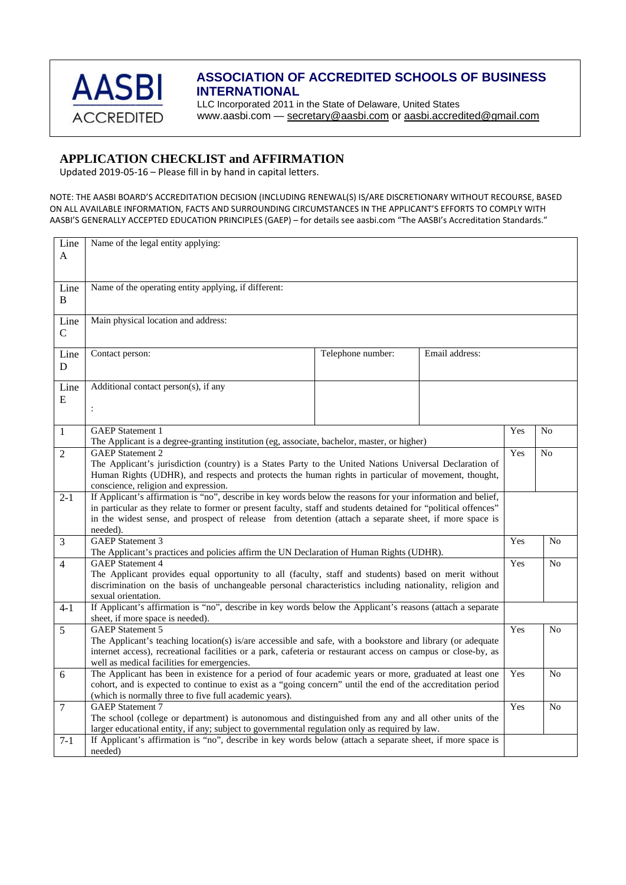

## **ASSOCIATION OF ACCREDITED SCHOOLS OF BUSINESS INTERNATIONAL**

LLC Incorporated 2011 in the State of Delaware, United States www.aasbi.com — [secretary@aasbi.com](mailto:secretary@aasbi.com) or [aasbi.accredited@gmail.com](mailto:aasbi.accredited@gmail.com) 

## **APPLICATION CHECKLIST and AFFIRMATION**

Updated 2019‐05‐16 – Please fill in by hand in capital letters.

NOTE: THE AASBI BOARD'S ACCREDITATION DECISION (INCLUDING RENEWAL(S) IS/ARE DISCRETIONARY WITHOUT RECOURSE, BASED ON ALL AVAILABLE INFORMATION, FACTS AND SURROUNDING CIRCUMSTANCES IN THE APPLICANT'S EFFORTS TO COMPLY WITH AASBI'S GENERALLY ACCEPTED EDUCATION PRINCIPLES (GAEP) – for details see aasbi.com "The AASBI's Accreditation Standards."

| Line           | Name of the legal entity applying:                                                                                                          |     |                |  |  |
|----------------|---------------------------------------------------------------------------------------------------------------------------------------------|-----|----------------|--|--|
| A              |                                                                                                                                             |     |                |  |  |
|                |                                                                                                                                             |     |                |  |  |
|                |                                                                                                                                             |     |                |  |  |
| Line           | Name of the operating entity applying, if different:                                                                                        |     |                |  |  |
| $\mathbf{B}$   |                                                                                                                                             |     |                |  |  |
|                | Main physical location and address:                                                                                                         |     |                |  |  |
| Line           |                                                                                                                                             |     |                |  |  |
| $\mathbf C$    |                                                                                                                                             |     |                |  |  |
| Line           | Telephone number:<br>Contact person:<br>Email address:                                                                                      |     |                |  |  |
| D              |                                                                                                                                             |     |                |  |  |
|                |                                                                                                                                             |     |                |  |  |
| Line           | Additional contact person(s), if any                                                                                                        |     |                |  |  |
| E              |                                                                                                                                             |     |                |  |  |
|                | $\ddot{\cdot}$                                                                                                                              |     |                |  |  |
|                |                                                                                                                                             |     |                |  |  |
| $\mathbf{1}$   | <b>GAEP</b> Statement 1                                                                                                                     | Yes | No             |  |  |
|                | The Applicant is a degree-granting institution (eg, associate, bachelor, master, or higher)                                                 |     |                |  |  |
| $\overline{2}$ | <b>GAEP</b> Statement 2                                                                                                                     | Yes | No             |  |  |
|                | The Applicant's jurisdiction (country) is a States Party to the United Nations Universal Declaration of                                     |     |                |  |  |
|                | Human Rights (UDHR), and respects and protects the human rights in particular of movement, thought,<br>conscience, religion and expression. |     |                |  |  |
| $2 - 1$        | If Applicant's affirmation is "no", describe in key words below the reasons for your information and belief,                                |     |                |  |  |
|                | in particular as they relate to former or present faculty, staff and students detained for "political offences"                             |     |                |  |  |
|                | in the widest sense, and prospect of release from detention (attach a separate sheet, if more space is                                      |     |                |  |  |
|                | needed).                                                                                                                                    |     |                |  |  |
| 3              | <b>GAEP</b> Statement 3                                                                                                                     | Yes | N <sub>o</sub> |  |  |
|                | The Applicant's practices and policies affirm the UN Declaration of Human Rights (UDHR).                                                    |     |                |  |  |
| $\overline{4}$ | GAEP Statement 4                                                                                                                            | Yes | N <sub>o</sub> |  |  |
|                | The Applicant provides equal opportunity to all (faculty, staff and students) based on merit without                                        |     |                |  |  |
|                | discrimination on the basis of unchangeable personal characteristics including nationality, religion and                                    |     |                |  |  |
|                | sexual orientation.                                                                                                                         |     |                |  |  |
| $4 - 1$        | If Applicant's affirmation is "no", describe in key words below the Applicant's reasons (attach a separate                                  |     |                |  |  |
|                | sheet, if more space is needed).<br><b>GAEP</b> Statement 5                                                                                 | Yes | N <sub>o</sub> |  |  |
| 5              | The Applicant's teaching location(s) is/are accessible and safe, with a bookstore and library (or adequate                                  |     |                |  |  |
|                | internet access), recreational facilities or a park, cafeteria or restaurant access on campus or close-by, as                               |     |                |  |  |
|                | well as medical facilities for emergencies.                                                                                                 |     |                |  |  |
| 6              | The Applicant has been in existence for a period of four academic years or more, graduated at least one                                     | Yes | N <sub>o</sub> |  |  |
|                | cohort, and is expected to continue to exist as a "going concern" until the end of the accreditation period                                 |     |                |  |  |
|                | (which is normally three to five full academic years).                                                                                      | Yes |                |  |  |
| $\overline{7}$ | <b>GAEP</b> Statement 7                                                                                                                     |     |                |  |  |
|                | The school (college or department) is autonomous and distinguished from any and all other units of the                                      |     |                |  |  |
|                | larger educational entity, if any; subject to governmental regulation only as required by law.                                              |     |                |  |  |
| $7-1$          | If Applicant's affirmation is "no", describe in key words below (attach a separate sheet, if more space is                                  |     |                |  |  |
|                | needed)                                                                                                                                     |     |                |  |  |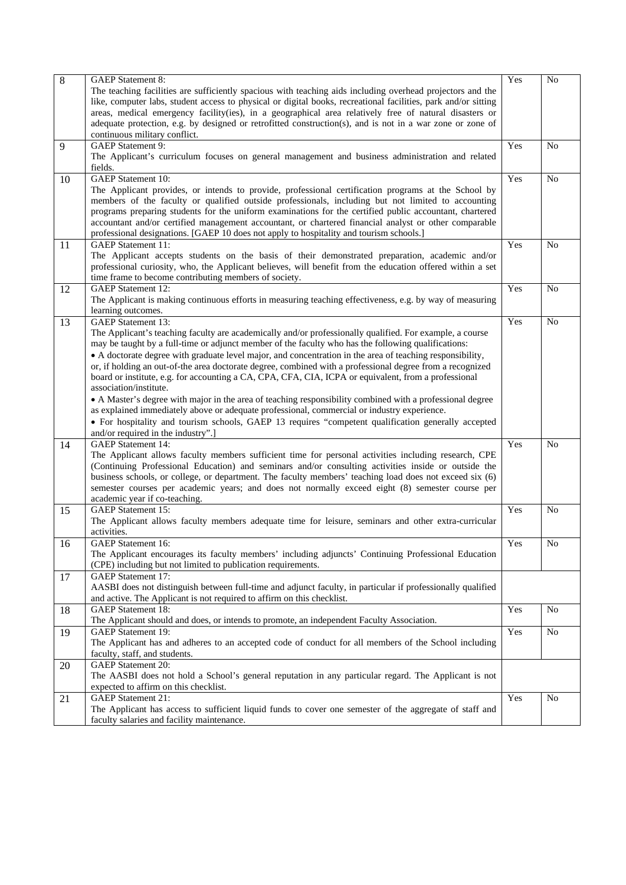| $\overline{8}$ | <b>GAEP</b> Statement 8:                                                                                       | Yes | N <sub>o</sub> |
|----------------|----------------------------------------------------------------------------------------------------------------|-----|----------------|
|                | The teaching facilities are sufficiently spacious with teaching aids including overhead projectors and the     |     |                |
|                | like, computer labs, student access to physical or digital books, recreational facilities, park and/or sitting |     |                |
|                | areas, medical emergency facility(ies), in a geographical area relatively free of natural disasters or         |     |                |
|                | adequate protection, e.g. by designed or retrofitted construction(s), and is not in a war zone or zone of      |     |                |
|                | continuous military conflict.                                                                                  |     |                |
| 9              | <b>GAEP</b> Statement 9:                                                                                       | Yes | N <sub>o</sub> |
|                | The Applicant's curriculum focuses on general management and business administration and related               |     |                |
|                | fields.                                                                                                        |     |                |
| 10             | <b>GAEP</b> Statement 10:                                                                                      | Yes | No             |
|                | The Applicant provides, or intends to provide, professional certification programs at the School by            |     |                |
|                | members of the faculty or qualified outside professionals, including but not limited to accounting             |     |                |
|                | programs preparing students for the uniform examinations for the certified public accountant, chartered        |     |                |
|                | accountant and/or certified management accountant, or chartered financial analyst or other comparable          |     |                |
|                | professional designations. [GAEP 10 does not apply to hospitality and tourism schools.]                        |     |                |
| 11             | <b>GAEP</b> Statement 11:                                                                                      | Yes | N <sub>o</sub> |
|                | The Applicant accepts students on the basis of their demonstrated preparation, academic and/or                 |     |                |
|                | professional curiosity, who, the Applicant believes, will benefit from the education offered within a set      |     |                |
|                | time frame to become contributing members of society.                                                          |     |                |
| 12             | <b>GAEP</b> Statement 12:                                                                                      | Yes | N <sub>o</sub> |
|                | The Applicant is making continuous efforts in measuring teaching effectiveness, e.g. by way of measuring       |     |                |
|                | learning outcomes.                                                                                             |     |                |
| 13             | <b>GAEP</b> Statement 13:                                                                                      | Yes | No             |
|                | The Applicant's teaching faculty are academically and/or professionally qualified. For example, a course       |     |                |
|                | may be taught by a full-time or adjunct member of the faculty who has the following qualifications:            |     |                |
|                | • A doctorate degree with graduate level major, and concentration in the area of teaching responsibility,      |     |                |
|                | or, if holding an out-of-the area doctorate degree, combined with a professional degree from a recognized      |     |                |
|                | board or institute, e.g. for accounting a CA, CPA, CFA, CIA, ICPA or equivalent, from a professional           |     |                |
|                | association/institute.                                                                                         |     |                |
|                | • A Master's degree with major in the area of teaching responsibility combined with a professional degree      |     |                |
|                | as explained immediately above or adequate professional, commercial or industry experience.                    |     |                |
|                | • For hospitality and tourism schools, GAEP 13 requires "competent qualification generally accepted            |     |                |
|                |                                                                                                                |     |                |
| 14             | and/or required in the industry".]<br><b>GAEP</b> Statement 14:                                                | Yes | N <sub>o</sub> |
|                | The Applicant allows faculty members sufficient time for personal activities including research, CPE           |     |                |
|                | (Continuing Professional Education) and seminars and/or consulting activities inside or outside the            |     |                |
|                | business schools, or college, or department. The faculty members' teaching load does not exceed six (6)        |     |                |
|                | semester courses per academic years; and does not normally exceed eight (8) semester course per                |     |                |
|                | academic year if co-teaching.                                                                                  |     |                |
| 15             | <b>GAEP</b> Statement 15:                                                                                      | Yes | N <sub>0</sub> |
|                | The Applicant allows faculty members adequate time for leisure, seminars and other extra-curricular            |     |                |
|                | activities.                                                                                                    |     |                |
| 16             | <b>GAEP</b> Statement 16:                                                                                      | Yes | No             |
|                | The Applicant encourages its faculty members' including adjuncts' Continuing Professional Education            |     |                |
|                | (CPE) including but not limited to publication requirements.                                                   |     |                |
| 17             | <b>GAEP</b> Statement 17:                                                                                      |     |                |
|                | AASBI does not distinguish between full-time and adjunct faculty, in particular if professionally qualified    |     |                |
|                | and active. The Applicant is not required to affirm on this checklist.                                         |     |                |
| 18             | <b>GAEP</b> Statement 18:                                                                                      | Yes | N <sub>o</sub> |
|                | The Applicant should and does, or intends to promote, an independent Faculty Association.                      |     |                |
| 19             | <b>GAEP</b> Statement 19:                                                                                      | Yes | No             |
|                | The Applicant has and adheres to an accepted code of conduct for all members of the School including           |     |                |
|                | faculty, staff, and students.                                                                                  |     |                |
| 20             | <b>GAEP</b> Statement 20:                                                                                      |     |                |
|                | The AASBI does not hold a School's general reputation in any particular regard. The Applicant is not           |     |                |
|                | expected to affirm on this checklist.                                                                          |     |                |
| 21             | <b>GAEP</b> Statement 21:                                                                                      | Yes | N <sub>o</sub> |
|                | The Applicant has access to sufficient liquid funds to cover one semester of the aggregate of staff and        |     |                |
|                | faculty salaries and facility maintenance.                                                                     |     |                |
|                |                                                                                                                |     |                |